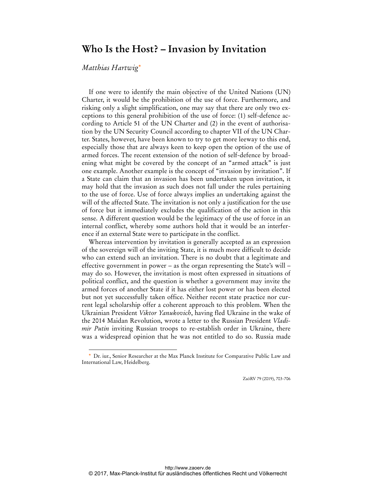## **Who Is the Host? – Invasion by Invitation**

## *Matthias Hartwig*\*

 $\ddot{ }$ 

If one were to identify the main objective of the United Nations (UN) Charter, it would be the prohibition of the use of force. Furthermore, and risking only a slight simplification, one may say that there are only two exceptions to this general prohibition of the use of force: (1) self-defence according to Article 51 of the UN Charter and (2) in the event of authorisation by the UN Security Council according to chapter VII of the UN Charter. States, however, have been known to try to get more leeway to this end, especially those that are always keen to keep open the option of the use of armed forces. The recent extension of the notion of self-defence by broadening what might be covered by the concept of an "armed attack" is just one example. Another example is the concept of "invasion by invitation". If a State can claim that an invasion has been undertaken upon invitation, it may hold that the invasion as such does not fall under the rules pertaining to the use of force. Use of force always implies an undertaking against the will of the affected State. The invitation is not only a justification for the use of force but it immediately excludes the qualification of the action in this sense. A different question would be the legitimacy of the use of force in an internal conflict, whereby some authors hold that it would be an interference if an external State were to participate in the conflict.

Whereas intervention by invitation is generally accepted as an expression of the sovereign will of the inviting State, it is much more difficult to decide who can extend such an invitation. There is no doubt that a legitimate and effective government in power – as the organ representing the State's will – may do so. However, the invitation is most often expressed in situations of political conflict, and the question is whether a government may invite the armed forces of another State if it has either lost power or has been elected but not yet successfully taken office. Neither recent state practice nor current legal scholarship offer a coherent approach to this problem. When the Ukrainian President *Viktor Yanukovich*, having fled Ukraine in the wake of the 2014 Maidan Revolution, wrote a letter to the Russian President *Vladimir Putin* inviting Russian troops to re-establish order in Ukraine, there was a widespread opinion that he was not entitled to do so. Russia made

ZaöRV 79 (2019), 703-706

Dr. iur., Senior Researcher at the Max Planck Institute for Comparative Public Law and International Law, Heidelberg.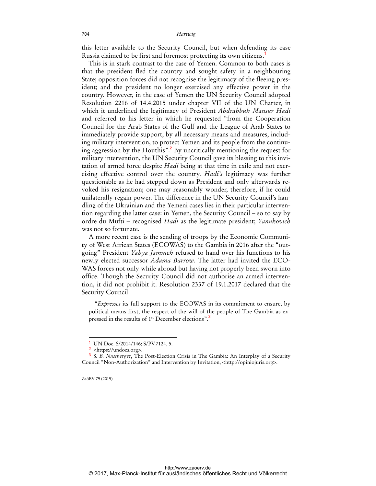this letter available to the Security Council, but when defending its case Russia claimed to be first and foremost protecting its own citizens.<sup>1</sup>

This is in stark contrast to the case of Yemen. Common to both cases is that the president fled the country and sought safety in a neighbouring State; opposition forces did not recognise the legitimacy of the fleeing president; and the president no longer exercised any effective power in the country. However, in the case of Yemen the UN Security Council adopted Resolution 2216 of 14.4.2015 under chapter VII of the UN Charter, in which it underlined the legitimacy of President *Abdrabbuh Mansur Hadi* and referred to his letter in which he requested "from the Cooperation Council for the Arab States of the Gulf and the League of Arab States to immediately provide support, by all necessary means and measures, including military intervention, to protect Yemen and its people from the continuing aggression by the Houthis".<sup>2</sup> By uncritically mentioning the request for military intervention, the UN Security Council gave its blessing to this invitation of armed force despite *Hadi* being at that time in exile and not exercising effective control over the country. *Hadi's* legitimacy was further questionable as he had stepped down as President and only afterwards revoked his resignation; one may reasonably wonder, therefore, if he could unilaterally regain power. The difference in the UN Security Council's handling of the Ukrainian and the Yemeni cases lies in their particular intervention regarding the latter case: in Yemen, the Security Council – so to say by ordre du Mufti – recognised *Hadi* as the legitimate president; *Yanukovich* was not so fortunate.

A more recent case is the sending of troops by the Economic Community of West African States (ECOWAS) to the Gambia in 2016 after the "outgoing" President *Yahya Jammeh* refused to hand over his functions to his newly elected successor *Adama Barrow*. The latter had invited the ECO-WAS forces not only while abroad but having not properly been sworn into office. Though the Security Council did not authorise an armed intervention, it did not prohibit it. Resolution 2337 of 19.1.2017 declared that the Security Council

"*Expresses* its full support to the ECOWAS in its commitment to ensure, by political means first, the respect of the will of the people of The Gambia as expressed in the results of 1<sup>st</sup> December elections".<sup>3</sup>

ZaöRV 79 (2019)

 $\overline{a}$ 

UN Doc. S/2014/146; S/PV.7124, 5.

<sup>2</sup> <https://undocs.org>.

<sup>3</sup> S. *B. Nussberger*, The Post-Election Crisis in The Gambia: An Interplay of a Security Council "Non-Authorization" and Intervention by Invitation, <http://opiniojuris.org>.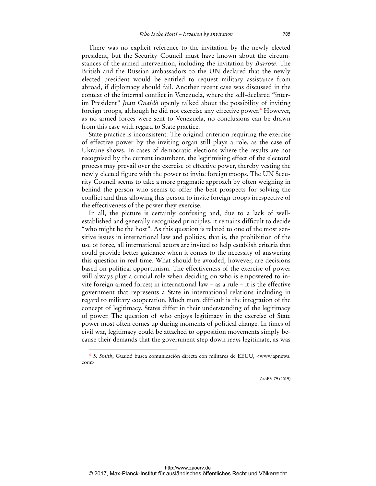There was no explicit reference to the invitation by the newly elected president, but the Security Council must have known about the circumstances of the armed intervention, including the invitation by *Barrow*. The British and the Russian ambassadors to the UN declared that the newly elected president would be entitled to request military assistance from abroad, if diplomacy should fail. Another recent case was discussed in the context of the internal conflict in Venezuela, where the self-declared "interim President" *Juan Guaidò* openly talked about the possibility of inviting foreign troops, although he did not exercise any effective power.<sup>4</sup> However, as no armed forces were sent to Venezuela, no conclusions can be drawn from this case with regard to State practice.

State practice is inconsistent. The original criterion requiring the exercise of effective power by the inviting organ still plays a role, as the case of Ukraine shows. In cases of democratic elections where the results are not recognised by the current incumbent, the legitimising effect of the electoral process may prevail over the exercise of effective power, thereby vesting the newly elected figure with the power to invite foreign troops. The UN Security Council seems to take a more pragmatic approach by often weighing in behind the person who seems to offer the best prospects for solving the conflict and thus allowing this person to invite foreign troops irrespective of the effectiveness of the power they exercise.

In all, the picture is certainly confusing and, due to a lack of wellestablished and generally recognised principles, it remains difficult to decide "who might be the host". As this question is related to one of the most sensitive issues in international law and politics, that is, the prohibition of the use of force, all international actors are invited to help establish criteria that could provide better guidance when it comes to the necessity of answering this question in real time. What should be avoided, however, are decisions based on political opportunism. The effectiveness of the exercise of power will always play a crucial role when deciding on who is empowered to invite foreign armed forces; in international law – as a rule – it is the effective government that represents a State in international relations including in regard to military cooperation. Much more difficult is the integration of the concept of legitimacy. States differ in their understanding of the legitimacy of power. The question of who enjoys legitimacy in the exercise of State power most often comes up during moments of political change. In times of civil war, legitimacy could be attached to opposition movements simply because their demands that the government step down *seem* legitimate, as was

 $\ddot{ }$ 

ZaöRV 79 (2019)

<sup>&</sup>lt;sup>4</sup> *S. Smith*, Guaidó busca comunicación directa con militares de EEUU, <www.apnews. com>.